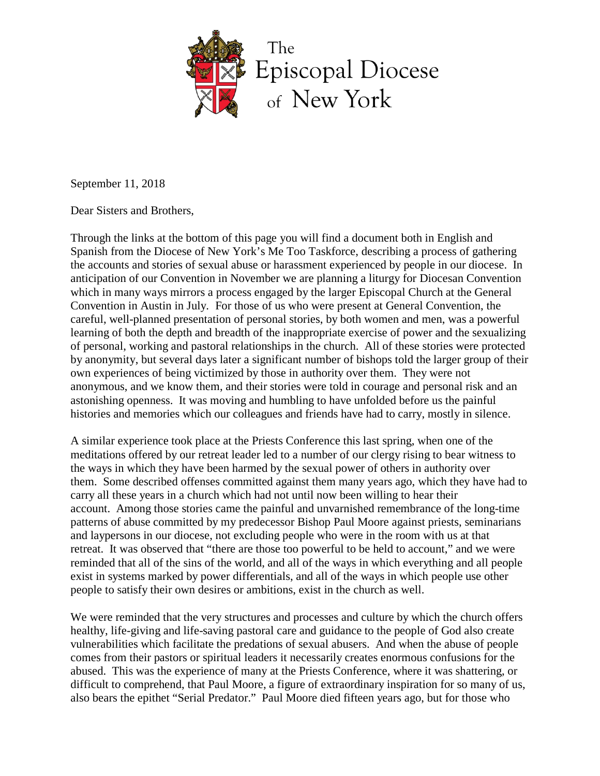

September 11, 2018

Dear Sisters and Brothers,

Through the links at the bottom of this page you will find a document both in English and Spanish from the Diocese of New York's Me Too Taskforce, describing a process of gathering the accounts and stories of sexual abuse or harassment experienced by people in our diocese. In anticipation of our Convention in November we are planning a liturgy for Diocesan Convention which in many ways mirrors a process engaged by the larger Episcopal Church at the General Convention in Austin in July. For those of us who were present at General Convention, the careful, well-planned presentation of personal stories, by both women and men, was a powerful learning of both the depth and breadth of the inappropriate exercise of power and the sexualizing of personal, working and pastoral relationships in the church. All of these stories were protected by anonymity, but several days later a significant number of bishops told the larger group of their own experiences of being victimized by those in authority over them. They were not anonymous, and we know them, and their stories were told in courage and personal risk and an astonishing openness. It was moving and humbling to have unfolded before us the painful histories and memories which our colleagues and friends have had to carry, mostly in silence.

A similar experience took place at the Priests Conference this last spring, when one of the meditations offered by our retreat leader led to a number of our clergy rising to bear witness to the ways in which they have been harmed by the sexual power of others in authority over them. Some described offenses committed against them many years ago, which they have had to carry all these years in a church which had not until now been willing to hear their account. Among those stories came the painful and unvarnished remembrance of the long-time patterns of abuse committed by my predecessor Bishop Paul Moore against priests, seminarians and laypersons in our diocese, not excluding people who were in the room with us at that retreat. It was observed that "there are those too powerful to be held to account," and we were reminded that all of the sins of the world, and all of the ways in which everything and all people exist in systems marked by power differentials, and all of the ways in which people use other people to satisfy their own desires or ambitions, exist in the church as well.

We were reminded that the very structures and processes and culture by which the church offers healthy, life-giving and life-saving pastoral care and guidance to the people of God also create vulnerabilities which facilitate the predations of sexual abusers. And when the abuse of people comes from their pastors or spiritual leaders it necessarily creates enormous confusions for the abused. This was the experience of many at the Priests Conference, where it was shattering, or difficult to comprehend, that Paul Moore, a figure of extraordinary inspiration for so many of us, also bears the epithet "Serial Predator." Paul Moore died fifteen years ago, but for those who